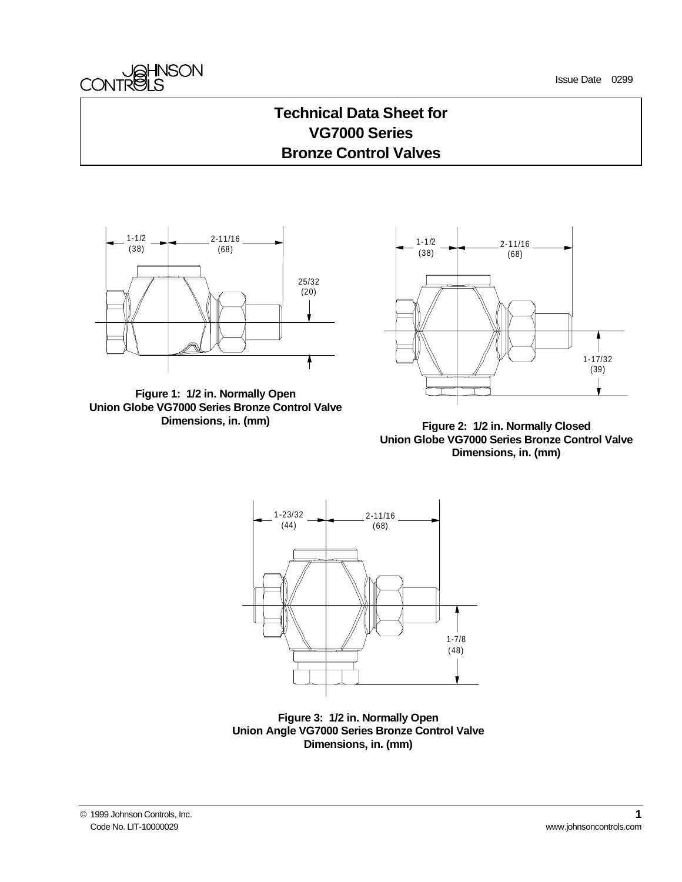



### **Technical Data Sheet for VG7000 Series Bronze Control Valves**







**Figure 2: 1/2 in. Normally Closed Union Globe VG7000 Series Bronze Control Valve Dimensions, in. (mm)**



**Figure 3: 1/2 in. Normally Open Union Angle VG7000 Series Bronze Control Valve Dimensions, in. (mm)**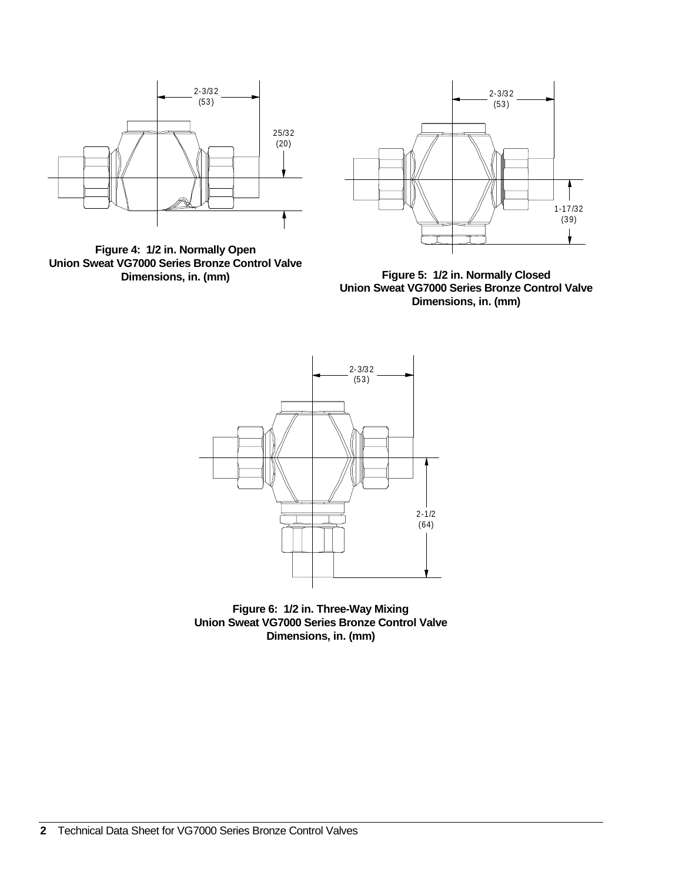

**Figure 4: 1/2 in. Normally Open Union Sweat VG7000 Series Bronze Control Valve Dimensions, in. (mm)**



**Figure 5: 1/2 in. Normally Closed Union Sweat VG7000 Series Bronze Control Valve Dimensions, in. (mm)**



**Figure 6: 1/2 in. Three-Way Mixing Union Sweat VG7000 Series Bronze Control Valve Dimensions, in. (mm)**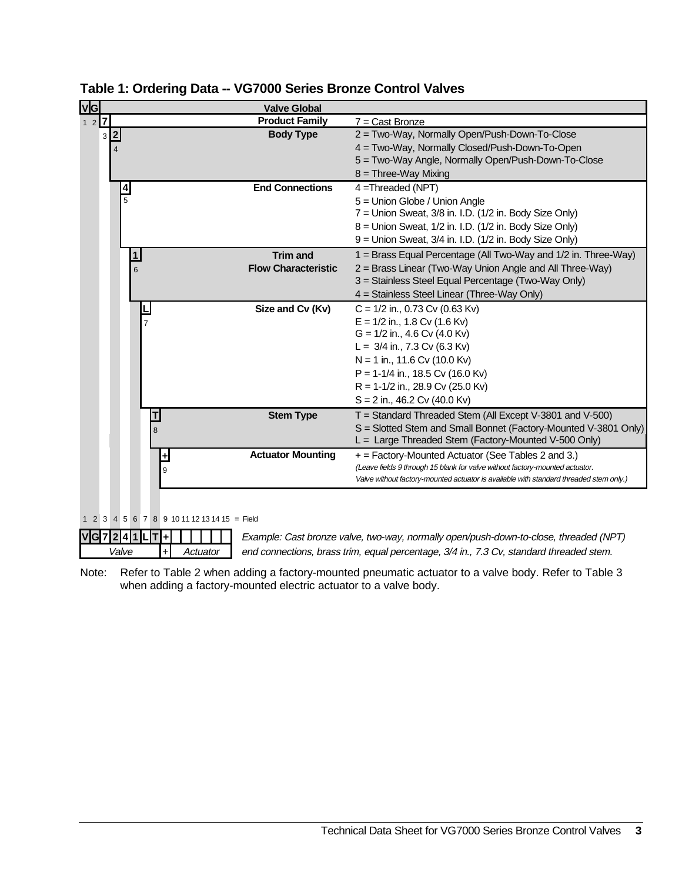| <b>VG</b> |     |               |                         |   |                                                    | <b>Valve Global</b>        |                                                                                        |
|-----------|-----|---------------|-------------------------|---|----------------------------------------------------|----------------------------|----------------------------------------------------------------------------------------|
| $127$     |     |               |                         |   |                                                    | <b>Product Family</b>      | $7 =$ Cast Bronze                                                                      |
|           | 3 2 |               |                         |   |                                                    | <b>Body Type</b>           | 2 = Two-Way, Normally Open/Push-Down-To-Close                                          |
|           |     |               |                         |   |                                                    |                            | 4 = Two-Way, Normally Closed/Push-Down-To-Open                                         |
|           |     |               |                         |   |                                                    |                            | 5 = Two-Way Angle, Normally Open/Push-Down-To-Close                                    |
|           |     |               |                         |   |                                                    |                            | $8 =$ Three-Way Mixing                                                                 |
|           |     | $\frac{4}{5}$ |                         |   |                                                    | <b>End Connections</b>     | $4 = Threaded (NPT)$                                                                   |
|           |     |               |                         |   |                                                    |                            | 5 = Union Globe / Union Angle                                                          |
|           |     |               |                         |   |                                                    |                            | 7 = Union Sweat, 3/8 in. I.D. (1/2 in. Body Size Only)                                 |
|           |     |               |                         |   |                                                    |                            | $8 =$ Union Sweat, $1/2$ in. I.D. $(1/2$ in. Body Size Only)                           |
|           |     |               |                         |   |                                                    |                            | 9 = Union Sweat, 3/4 in. I.D. (1/2 in. Body Size Only)                                 |
|           |     |               | $\overline{\mathbf{1}}$ |   |                                                    | <b>Trim</b> and            | 1 = Brass Equal Percentage (All Two-Way and 1/2 in. Three-Way)                         |
|           |     |               | 6                       |   |                                                    | <b>Flow Characteristic</b> | 2 = Brass Linear (Two-Way Union Angle and All Three-Way)                               |
|           |     |               |                         |   |                                                    |                            | 3 = Stainless Steel Equal Percentage (Two-Way Only)                                    |
|           |     |               |                         |   |                                                    |                            | 4 = Stainless Steel Linear (Three-Way Only)                                            |
|           |     |               |                         |   |                                                    | Size and Cv (Kv)           | $C = 1/2$ in., 0.73 Cv (0.63 Kv)                                                       |
|           |     |               | $\overline{7}$          |   |                                                    |                            | $E = 1/2$ in., 1.8 Cv (1.6 Kv)                                                         |
|           |     |               |                         |   |                                                    |                            | $G = 1/2$ in., 4.6 Cv (4.0 Kv)                                                         |
|           |     |               |                         |   |                                                    |                            | L = $3/4$ in., 7.3 Cv (6.3 Kv)                                                         |
|           |     |               |                         |   |                                                    |                            | $N = 1$ in., 11.6 Cv (10.0 Kv)                                                         |
|           |     |               |                         |   |                                                    |                            | $P = 1-1/4$ in., 18.5 Cv (16.0 Kv)                                                     |
|           |     |               |                         |   |                                                    |                            | $R = 1-1/2$ in., 28.9 Cv (25.0 Kv)                                                     |
|           |     |               |                         |   |                                                    |                            | $S = 2$ in., 46.2 Cv (40.0 Kv)                                                         |
|           |     |               |                         | T |                                                    | <b>Stem Type</b>           | $T =$ Standard Threaded Stem (All Except V-3801 and V-500)                             |
|           |     |               |                         | 8 |                                                    |                            | S = Slotted Stem and Small Bonnet (Factory-Mounted V-3801 Only)                        |
|           |     |               |                         |   |                                                    |                            | L = Large Threaded Stem (Factory-Mounted V-500 Only)                                   |
|           |     |               |                         |   | $\pm$                                              | <b>Actuator Mounting</b>   | + = Factory-Mounted Actuator (See Tables 2 and 3.)                                     |
|           |     |               |                         |   | 9                                                  |                            | (Leave fields 9 through 15 blank for valve without factory-mounted actuator.           |
|           |     |               |                         |   |                                                    |                            | Valve without factory-mounted actuator is available with standard threaded stem only.) |
|           |     |               |                         |   |                                                    |                            |                                                                                        |
|           |     |               |                         |   |                                                    |                            |                                                                                        |
| 1 2 3     |     |               |                         |   | $4\ 5\ 6\ 7\ 8\ 9\ 10\ 11\ 12\ 13\ 14\ 15 = Field$ |                            |                                                                                        |
| V G 7     |     |               |                         |   |                                                    |                            | Example: Cast bronze valve, two-way, normally open/push-down-to-close, threaded (NPT)  |

| Table 1: Ordering Data -- VG7000 Series Bronze Control Valves |  |  |
|---------------------------------------------------------------|--|--|
|---------------------------------------------------------------|--|--|

Note: Refer to Table 2 when adding a factory-mounted pneumatic actuator to a valve body. Refer to Table 3 when adding a factory-mounted electric actuator to a valve body.

Valve  $+$  Actuator end connections, brass trim, equal percentage, 3/4 in., 7.3 Cv, standard threaded stem.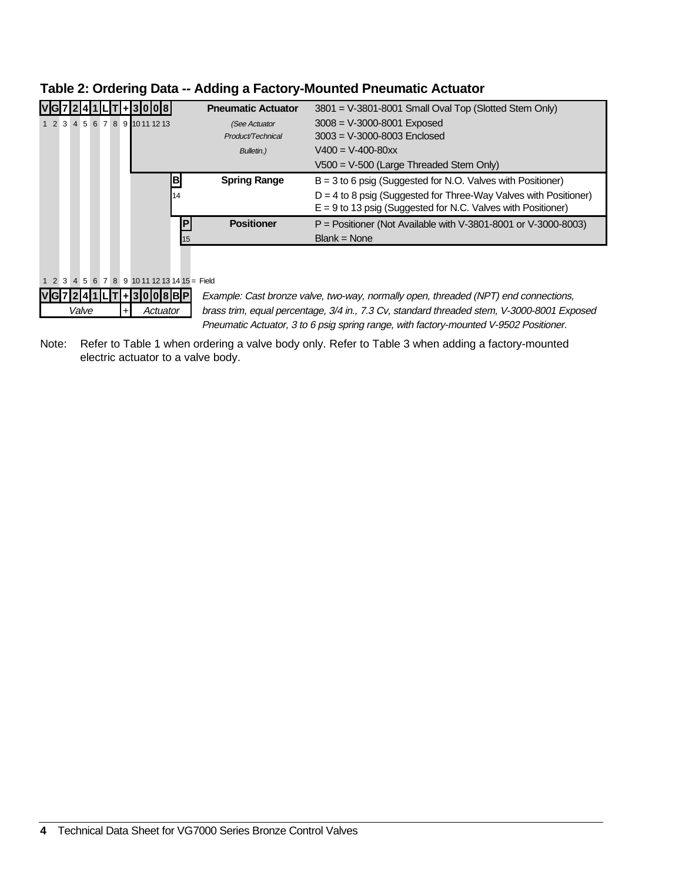|                                                                                       | <b>Pneumatic Actuator</b>                                                                  | 3801 = V-3801-8001 Small Oval Top (Slotted Stem Only)              |  |  |  |  |  |
|---------------------------------------------------------------------------------------|--------------------------------------------------------------------------------------------|--------------------------------------------------------------------|--|--|--|--|--|
| 1 2 3 4 5 6 7 8 9 1011 1213                                                           | (See Actuator                                                                              | $3008 = V - 3000 - 8001$ Exposed                                   |  |  |  |  |  |
|                                                                                       | Product/Technical                                                                          | $3003 = V - 3000 - 8003$ Enclosed                                  |  |  |  |  |  |
|                                                                                       | Bulletin.)                                                                                 | $V400 = V-400-80xx$                                                |  |  |  |  |  |
|                                                                                       |                                                                                            | $V500 = V-500$ (Large Threaded Stem Only)                          |  |  |  |  |  |
| B                                                                                     | <b>Spring Range</b>                                                                        | $B = 3$ to 6 psig (Suggested for N.O. Valves with Positioner)      |  |  |  |  |  |
| 14                                                                                    |                                                                                            | $D = 4$ to 8 psig (Suggested for Three-Way Valves with Positioner) |  |  |  |  |  |
|                                                                                       |                                                                                            | $E = 9$ to 13 psig (Suggested for N.C. Valves with Positioner)     |  |  |  |  |  |
| IP                                                                                    | <b>Positioner</b>                                                                          | $P =$ Positioner (Not Available with V-3801-8001 or V-3000-8003)   |  |  |  |  |  |
| 15                                                                                    |                                                                                            | $Blank = None$                                                     |  |  |  |  |  |
|                                                                                       |                                                                                            |                                                                    |  |  |  |  |  |
|                                                                                       |                                                                                            |                                                                    |  |  |  |  |  |
| 4 5 6 7 8 9 10 11 12 13 14 15 = Field<br>$1\quad2\quad3$                              |                                                                                            |                                                                    |  |  |  |  |  |
| 1018 BIP                                                                              | Example: Cast bronze valve, two-way, normally open, threaded (NPT) end connections,        |                                                                    |  |  |  |  |  |
| Valve<br>Actuator                                                                     | brass trim, equal percentage, 3/4 in., 7.3 Cv, standard threaded stem, V-3000-8001 Exposed |                                                                    |  |  |  |  |  |
| Pneumatic Actuator, 3 to 6 psig spring range, with factory-mounted V-9502 Positioner. |                                                                                            |                                                                    |  |  |  |  |  |

#### **Table 2: Ordering Data -- Adding a Factory-Mounted Pneumatic Actuator**

Note: Refer to Table 1 when ordering a valve body only. Refer to Table 3 when adding a factory-mounted electric actuator to a valve body.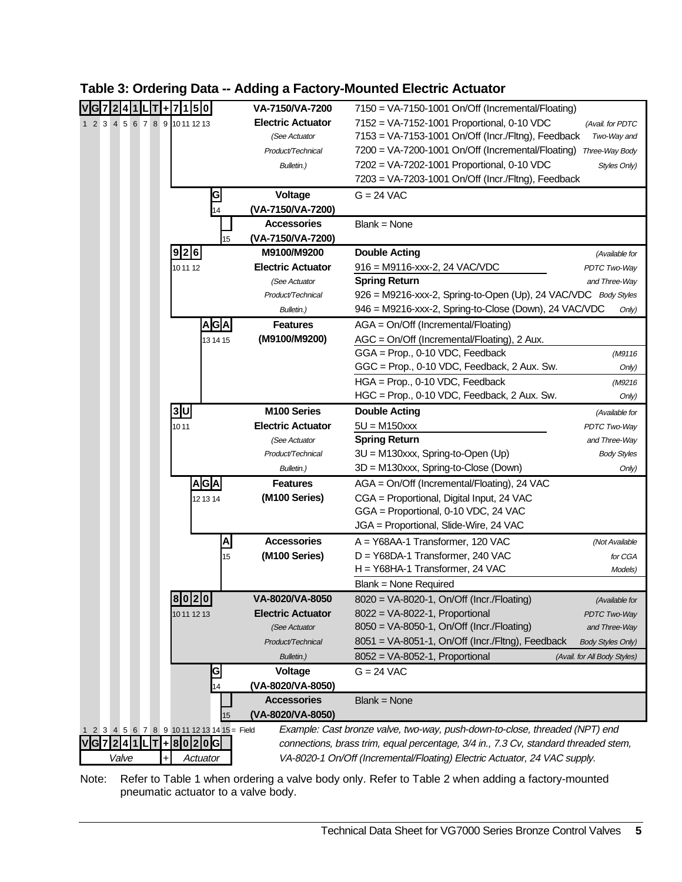| ÷                                           |                | 510              | VA-7150/VA-7200          | $7150 = VA-7150-1001$ On/Off (Incremental/Floating)                                 |                              |
|---------------------------------------------|----------------|------------------|--------------------------|-------------------------------------------------------------------------------------|------------------------------|
| 1 2 3 4 5 6 7 8 9 1011 12 13                |                |                  | <b>Electric Actuator</b> | 7152 = VA-7152-1001 Proportional, 0-10 VDC                                          | (Avail. for PDTC             |
|                                             |                |                  | (See Actuator            | 7153 = VA-7153-1001 On/Off (Incr./Fltng), Feedback                                  | Two-Way and                  |
|                                             |                |                  | Product/Technical        | 7200 = VA-7200-1001 On/Off (Incremental/Floating)                                   | Three-Way Body               |
|                                             |                |                  | Bulletin.)               | 7202 = VA-7202-1001 Proportional, 0-10 VDC                                          | Styles Only)                 |
|                                             |                |                  |                          | 7203 = VA-7203-1001 On/Off (Incr./Fltng), Feedback                                  |                              |
|                                             |                | G                | Voltage                  | $G = 24$ VAC                                                                        |                              |
|                                             |                | 14               | (VA-7150/VA-7200)        |                                                                                     |                              |
|                                             |                |                  | <b>Accessories</b>       | $Blank = None$                                                                      |                              |
|                                             |                | 15               | (VA-7150/VA-7200)        |                                                                                     |                              |
|                                             | 9 2 6          |                  | M9100/M9200              | <b>Double Acting</b>                                                                | (Available for               |
|                                             | 10 11 12       |                  | <b>Electric Actuator</b> | $916 = M9116$ -xxx-2, 24 VAC/VDC                                                    | PDTC Two-Way                 |
|                                             |                |                  | (See Actuator            | <b>Spring Return</b>                                                                | and Three-Way                |
|                                             |                |                  | Product/Technical        | 926 = M9216-xxx-2, Spring-to-Open (Up), 24 VAC/VDC Body Styles                      |                              |
|                                             |                |                  | Bulletin.)               | 946 = M9216-xxx-2, Spring-to-Close (Down), 24 VAC/VDC                               | Only)                        |
|                                             |                | AGA              | <b>Features</b>          | $AGA = On/Off$ (Incremental/Floating)                                               |                              |
|                                             |                | 13 14 15         | (M9100/M9200)            | AGC = On/Off (Incremental/Floating), 2 Aux.                                         |                              |
|                                             |                |                  |                          | GGA = Prop., 0-10 VDC, Feedback                                                     | (M9116                       |
|                                             |                |                  |                          | GGC = Prop., 0-10 VDC, Feedback, 2 Aux. Sw.                                         | Only)                        |
|                                             |                |                  |                          | HGA = Prop., 0-10 VDC, Feedback                                                     | (M9216                       |
|                                             |                |                  |                          | HGC = Prop., 0-10 VDC, Feedback, 2 Aux. Sw.                                         | Only)                        |
|                                             | 3 <sub>U</sub> |                  | M <sub>100</sub> Series  | <b>Double Acting</b>                                                                | (Available for               |
|                                             | 1011           |                  | <b>Electric Actuator</b> | $5U = M150$ xxx                                                                     | PDTC Two-Way                 |
|                                             |                |                  | (See Actuator            | <b>Spring Return</b>                                                                | and Three-Way                |
|                                             |                |                  | Product/Technical        | 3U = M130xxx, Spring-to-Open (Up)                                                   | <b>Body Styles</b>           |
|                                             |                |                  | Bulletin.)               | 3D = M130xxx, Spring-to-Close (Down)                                                | Only)                        |
|                                             |                | A G A            | <b>Features</b>          | AGA = On/Off (Incremental/Floating), 24 VAC                                         |                              |
|                                             |                | 12 13 14         | (M100 Series)            | CGA = Proportional, Digital Input, 24 VAC                                           |                              |
|                                             |                |                  |                          | GGA = Proportional, 0-10 VDC, 24 VAC                                                |                              |
|                                             |                |                  |                          | JGA = Proportional, Slide-Wire, 24 VAC                                              |                              |
|                                             |                | $\blacktriangle$ | <b>Accessories</b>       | A = Y68AA-1 Transformer, 120 VAC                                                    | (Not Available               |
|                                             |                | 15               | (M100 Series)            | D = Y68DA-1 Transformer, 240 VAC                                                    | for CGA                      |
|                                             |                |                  |                          | H = Y68HA-1 Transformer, 24 VAC                                                     | Models)                      |
|                                             |                |                  |                          | Blank = None Required                                                               |                              |
|                                             | 8020           |                  | <b>VA-8020/VA-8050</b>   | 8020 = VA-8020-1, On/Off (Incr./Floating)                                           | (Available for               |
|                                             | 10 11 12 13    |                  | <b>Electric Actuator</b> | 8022 = VA-8022-1, Proportional                                                      | <b>PDTC Two-Way</b>          |
|                                             |                |                  | (See Actuator            | 8050 = VA-8050-1, On/Off (Incr./Floating)                                           | and Three-Way                |
|                                             |                |                  | Product/Technical        | 8051 = VA-8051-1, On/Off (Incr./Fltng), Feedback                                    | <b>Body Styles Only)</b>     |
|                                             |                |                  | Bulletin.)               | 8052 = VA-8052-1, Proportional                                                      | (Avail. for All Body Styles) |
|                                             |                | G                | Voltage                  | $G = 24$ VAC                                                                        |                              |
|                                             |                | 14               | (VA-8020/VA-8050)        |                                                                                     |                              |
|                                             |                |                  | <b>Accessories</b>       | $Blank = None$                                                                      |                              |
|                                             |                | 15               | (VA-8020/VA-8050)        |                                                                                     |                              |
| 1 2 3 4 5 6 7 8 9 10 11 12 13 14 15 = Field |                |                  |                          | Example: Cast bronze valve, two-way, push-down-to-close, threaded (NPT) end         |                              |
| G 7 2 4 1 <br>T<br>$\mathbf{I}$<br>Ŧ.       |                | 80206            |                          | connections, brass trim, equal percentage, 3/4 in., 7.3 Cv, standard threaded stem, |                              |
| Valve<br>Actuator<br>Ŧ                      |                |                  |                          | VA-8020-1 On/Off (Incremental/Floating) Electric Actuator, 24 VAC supply.           |                              |

#### **Table 3: Ordering Data -- Adding a Factory-Mounted Electric Actuator**

Note: Refer to Table 1 when ordering a valve body only. Refer to Table 2 when adding a factory-mounted pneumatic actuator to a valve body.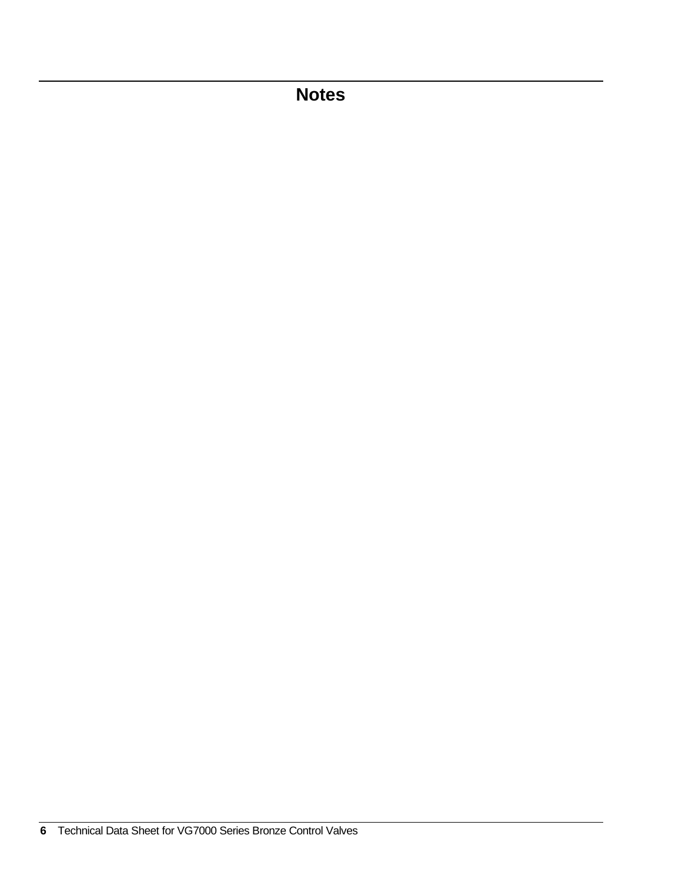# **Notes**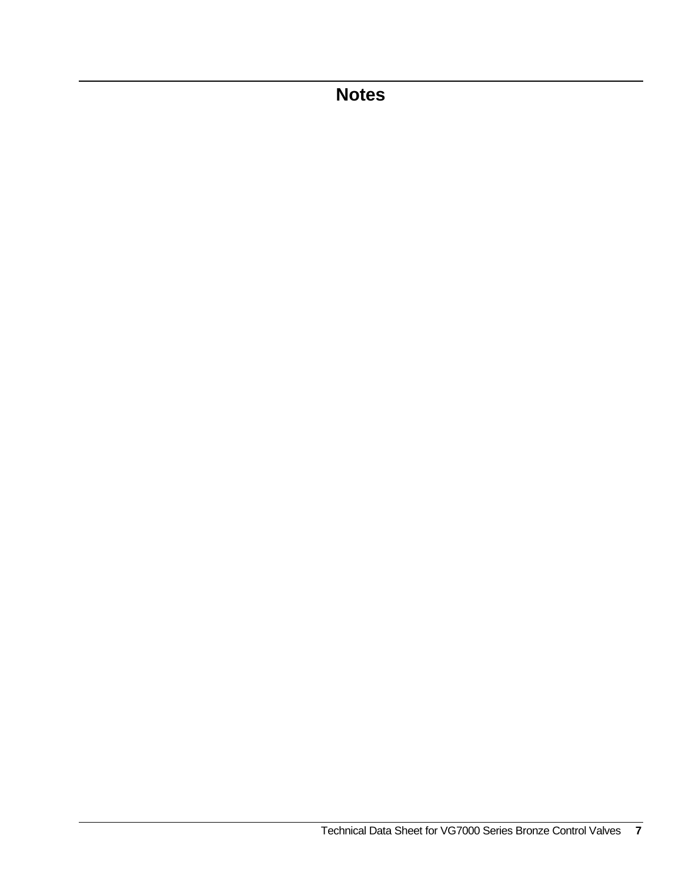**Notes**